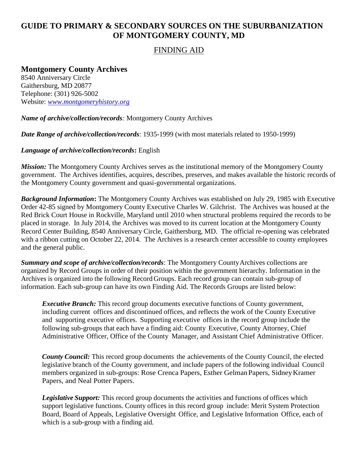# **GUIDE TO PRIMARY & SECONDARY SOURCES ON THE SUBURBANIZATION OF MONTGOMERY COUNTY, MD**

### FINDING AID

## **Montgomery County Archives**

8540 Anniversary Circle Gaithersburg, MD 20877 Telephone: (301) 926-5002 Website: *[www.montgomeryhistory.org](http://www.montgomeryhistory.org/)*

*Name of archive/collection/records:* Montgomery County Archives

*Date Range of archive/collection/records*: 1935-1999 (with most materials related to 1950-1999)

*Language of archive/collection/records***:** English

*Mission:* The Montgomery County Archives serves as the institutional memory of the Montgomery County government. The Archives identifies, acquires, describes, preserves, and makes available the historic records of the Montgomery County government and quasi-governmental organizations.

*Background Information***:** The Montgomery County Archives was established on July 29, 1985 with Executive Order 42-85 signed by Montgomery County Executive Charles W. Gilchrist. The Archives was housed at the Red Brick Court House in Rockville, Maryland until 2010 when structural problems required the records to be placed in storage. In July 2014, the Archives was moved to its current location at the Montgomery County Record Center Building, 8540 Anniversary Circle, Gaithersburg, MD. The official re-opening was celebrated with a ribbon cutting on October 22, 2014. The Archives is a research center accessible to county employees and the general public.

*Summary and scope of archive/collection/records*: The Montgomery County Archives collections are organized by Record Groups in order of their position within the government hierarchy. Information in the Archives is organized into the following Record Groups. Each record group can contain sub-group of information. Each sub-group can have its own Finding Aid. The Records Groups are listed below:

*Executive Branch:* This record group documents executive functions of County government, including current offices and discontinued offices, and reflects the work of the County Executive and supporting executive offices. Supporting executive offices in the record group include the following sub-groups that each have a finding aid: County Executive, County Attorney, Chief Administrative Officer, Office of the County Manager, and Assistant Chief Administrative Officer.

*County Council:* This record group documents the achievements of the County Council, the elected legislative branch of the County government, and include papers of the following individual Council members organized in sub-groups: Rose Crenca Papers, Esther GelmanPapers, SidneyKramer Papers, and Neal Potter Papers.

*Legislative Support:* This record group documents the activities and functions of offices which support legislative functions. County offices in this record group include: Merit System Protection Board, Board of Appeals, Legislative Oversight Office, and Legislative Information Office, each of which is a sub-group with a finding aid*.*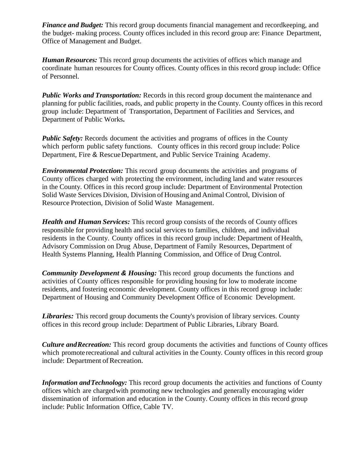*Finance and Budget:* This record group documents financial management and recordkeeping, and the budget- making process. County offices included in this record group are: Finance Department, Office of Management and Budget.

*HumanResources:* This record group documents the activities of offices which manage and coordinate human resources for County offices. County offices in this record group include: Office of Personnel.

*Public Works and Transportation:* Records in this record group document the maintenance and planning for public facilities, roads, and public property in the County. County offices in this record group include: Department of Transportation, Department of Facilities and Services, and Department of Public Works**.**

*Public Safety:* Records document the activities and programs of offices in the County which perform public safety functions. County offices in this record group include: Police Department, Fire & RescueDepartment, and Public Service Training Academy.

*Environmental Protection:* This record group documents the activities and programs of County offices charged with protecting the environment, including land and water resources in the County. Offices in this record group include: Department of Environmental Protection Solid Waste Services Division, Division of Housing and Animal Control, Division of Resource Protection, Division of Solid Waste Management.

*Health and Human Services:* This record group consists of the records of County offices responsible for providing health and social services to families, children, and individual residents in the County. County offices in this record group include: Department of Health, Advisory Commission on Drug Abuse, Department of Family Resources, Department of Health Systems Planning, Health Planning Commission, and Office of Drug Control.

*Community Development & Housing:* This record group documents the functions and activities of County offices responsible for providing housing for low to moderate income residents, and fostering economic development. County offices in this record group include: Department of Housing and Community Development Office of Economic Development.

*Libraries:* This record group documents the County's provision of library services. County offices in this record group include: Department of Public Libraries, Library Board.

*Culture andRecreation:* This record group documents the activities and functions of County offices which promote recreational and cultural activities in the County. County offices in this record group include: Department of Recreation.

*Information andTechnology:* This record group documents the activities and functions of County offices which are chargedwith promoting new technologies and generally encouraging wider dissemination of information and education in the County. County offices in this record group include: Public Information Office, Cable TV.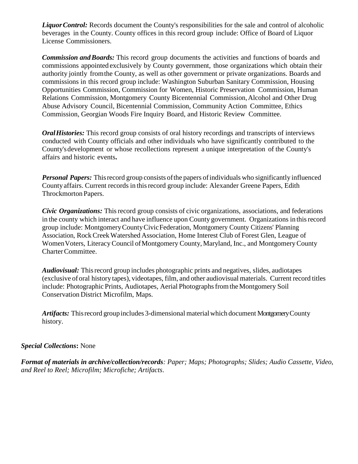Liquor Control: Records document the County's responsibilities for the sale and control of alcoholic beverages in the County. County offices in this record group include: Office of Board of Liquor License Commissioners.

*Commission andBoards:* This record group documents the activities and functions of boards and commissions appointed exclusively by County government, those organizations which obtain their authority jointly fromthe County, as well as other government or private organizations. Boards and commissions in this record group include: Washington Suburban Sanitary Commission, Housing Opportunities Commission, Commission for Women, Historic Preservation Commission, Human Relations Commission, Montgomery County Bicentennial Commission, Alcohol and Other Drug Abuse Advisory Council, Bicentennial Commission, Community Action Committee, Ethics Commission, Georgian Woods Fire Inquiry Board, and Historic Review Committee.

*OralHistories:* This record group consists of oral history recordings and transcripts of interviews conducted with County officials and other individuals who have significantly contributed to the County'sdevelopment or whose recollections represent a unique interpretation of the County's affairs and historic events**.**

*Personal Papers:* This record group consists of the papers of individuals who significantly influenced County affairs. Current records in thisrecord group include: Alexander Greene Papers, Edith Throckmorton Papers.

*Civic Organizations:* This record group consists of civic organizations, associations, and federations in the county which interact and have influence upon County government. Organizations in thisrecord group include: MontgomeryCountyCivicFederation, Montgomery County Citizens' Planning Association, RockCreekWatershed Association, Home Interest Club of Forest Glen, League of WomenVoters, LiteracyCouncil ofMontgomery County, Maryland, Inc., and MontgomeryCounty CharterCommittee.

*Audiovisual:* Thisrecord group includes photographic prints and negatives, slides, audiotapes (exclusive of oral history tapes), videotapes, film, and other audiovisual materials. Current record titles include: Photographic Prints, Audiotapes, Aerial Photographs from the Montgomery Soil Conservation District Microfilm, Maps.

Artifacts: This record group includes 3-dimensional material which document Montgomery County history.

### *Special Collections***:** None

*Format of materials in archive/collection/records: Paper; Maps; Photographs; Slides; Audio Cassette, Video, and Reel to Reel; Microfilm; Microfiche; Artifacts*.